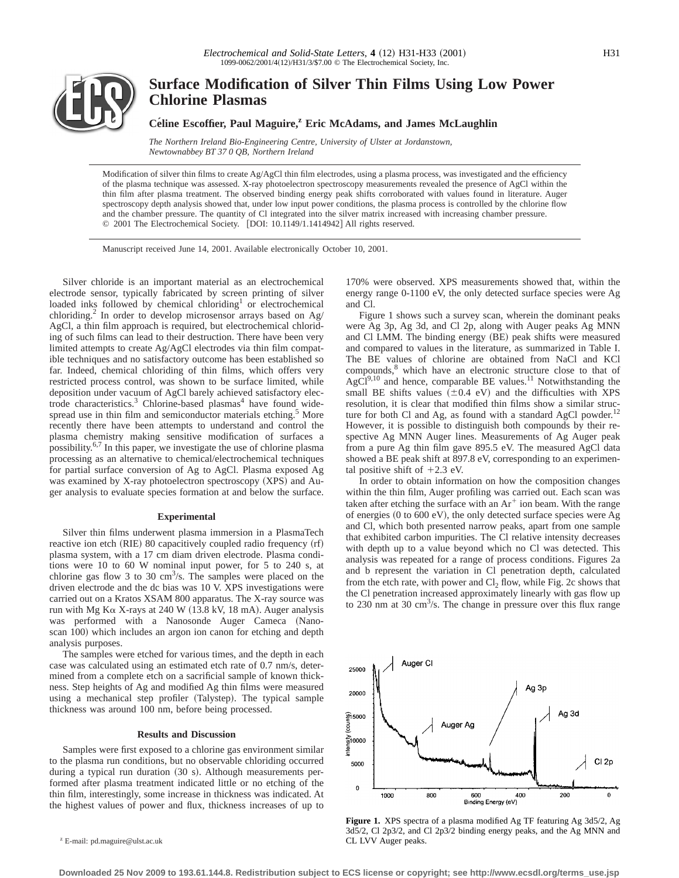

# **Surface Modification of Silver Thin Films Using Low Power Chlorine Plasmas**

## **Céline Escoffier, Paul Maguire,<sup>z</sup> Eric McAdams, and James McLaughlin**

*The Northern Ireland Bio-Engineering Centre, University of Ulster at Jordanstown, Newtownabbey BT 37 0 QB, Northern Ireland*

Modification of silver thin films to create Ag/AgCl thin film electrodes, using a plasma process, was investigated and the efficiency of the plasma technique was assessed. X-ray photoelectron spectroscopy measurements revealed the presence of AgCl within the thin film after plasma treatment. The observed binding energy peak shifts corroborated with values found in literature. Auger spectroscopy depth analysis showed that, under low input power conditions, the plasma process is controlled by the chlorine flow and the chamber pressure. The quantity of Cl integrated into the silver matrix increased with increasing chamber pressure. © 2001 The Electrochemical Society. [DOI: 10.1149/1.1414942] All rights reserved.

Manuscript received June 14, 2001. Available electronically October 10, 2001.

Silver chloride is an important material as an electrochemical electrode sensor, typically fabricated by screen printing of silver loaded inks followed by chemical chloriding<sup>1</sup> or electrochemical chloriding.<sup>2</sup> In order to develop microsensor arrays based on  $Ag/$ AgCl, a thin film approach is required, but electrochemical chloriding of such films can lead to their destruction. There have been very limited attempts to create Ag/AgCl electrodes via thin film compatible techniques and no satisfactory outcome has been established so far. Indeed, chemical chloriding of thin films, which offers very restricted process control, was shown to be surface limited, while deposition under vacuum of AgCl barely achieved satisfactory electrode characteristics.<sup>3</sup> Chlorine-based plasmas<sup>4</sup> have found widespread use in thin film and semiconductor materials etching.<sup>5</sup> More recently there have been attempts to understand and control the plasma chemistry making sensitive modification of surfaces a possibility.6,7 In this paper, we investigate the use of chlorine plasma processing as an alternative to chemical/electrochemical techniques for partial surface conversion of Ag to AgCl. Plasma exposed Ag was examined by X-ray photoelectron spectroscopy (XPS) and Auger analysis to evaluate species formation at and below the surface.

#### **Experimental**

Silver thin films underwent plasma immersion in a PlasmaTech reactive ion etch  $(RIE)$  80 capacitively coupled radio frequency  $(rf)$ plasma system, with a 17 cm diam driven electrode. Plasma conditions were 10 to 60 W nominal input power, for 5 to 240 s, at chlorine gas flow 3 to 30  $\text{cm}^3\text{/s}$ . The samples were placed on the driven electrode and the dc bias was 10 V. XPS investigations were carried out on a Kratos XSAM 800 apparatus. The X-ray source was run with Mg K $\alpha$  X-rays at 240 W (13.8 kV, 18 mA). Auger analysis was performed with a Nanosonde Auger Cameca (Nanoscan 100) which includes an argon ion canon for etching and depth analysis purposes.

The samples were etched for various times, and the depth in each case was calculated using an estimated etch rate of 0.7 nm/s, determined from a complete etch on a sacrificial sample of known thickness. Step heights of Ag and modified Ag thin films were measured using a mechanical step profiler (Talystep). The typical sample thickness was around 100 nm, before being processed.

## **Results and Discussion**

Samples were first exposed to a chlorine gas environment similar to the plasma run conditions, but no observable chloriding occurred during a typical run duration (30 s). Although measurements performed after plasma treatment indicated little or no etching of the thin film, interestingly, some increase in thickness was indicated. At the highest values of power and flux, thickness increases of up to

<sup>z</sup> E-mail: pd.maguire@ulst.ac.uk

170% were observed. XPS measurements showed that, within the energy range 0-1100 eV, the only detected surface species were Ag and Cl.

Figure 1 shows such a survey scan, wherein the dominant peaks were Ag 3p, Ag 3d, and Cl 2p, along with Auger peaks Ag MNN and Cl LMM. The binding energy (BE) peak shifts were measured and compared to values in the literature, as summarized in Table I. The BE values of chlorine are obtained from NaCl and KCl compounds,<sup>8</sup> which have an electronic structure close to that of  $AgCl<sup>9,10</sup>$  and hence, comparable BE values.<sup>11</sup> Notwithstanding the small BE shifts values  $(\pm 0.4 \text{ eV})$  and the difficulties with XPS resolution, it is clear that modified thin films show a similar structure for both Cl and Ag, as found with a standard AgCl powder.<sup>12</sup> However, it is possible to distinguish both compounds by their respective Ag MNN Auger lines. Measurements of Ag Auger peak from a pure Ag thin film gave 895.5 eV. The measured AgCl data showed a BE peak shift at 897.8 eV, corresponding to an experimental positive shift of  $+2.3$  eV.

In order to obtain information on how the composition changes within the thin film, Auger profiling was carried out. Each scan was taken after etching the surface with an  $Ar^+$  ion beam. With the range of energies  $(0 \text{ to } 600 \text{ eV})$ , the only detected surface species were Ag and Cl, which both presented narrow peaks, apart from one sample that exhibited carbon impurities. The Cl relative intensity decreases with depth up to a value beyond which no Cl was detected. This analysis was repeated for a range of process conditions. Figures 2a and b represent the variation in Cl penetration depth, calculated from the etch rate, with power and  $Cl<sub>2</sub>$  flow, while Fig. 2c shows that the Cl penetration increased approximately linearly with gas flow up to 230 nm at 30 cm<sup>3</sup>/s. The change in pressure over this flux range



**Figure 1.** XPS spectra of a plasma modified Ag TF featuring Ag 3d5/2, Ag 3d5/2, Cl 2p3/2, and Cl 2p3/2 binding energy peaks, and the Ag MNN and CL LVV Auger peaks.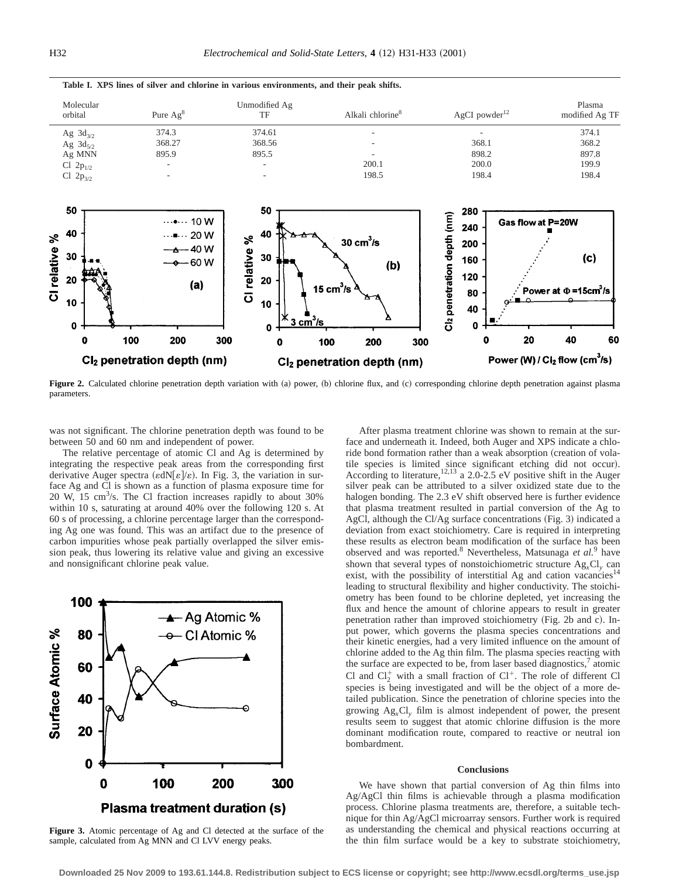

**Table I. XPS lines of silver and chlorine in various environments, and their peak shifts.**

Figure 2. Calculated chlorine penetration depth variation with (a) power, (b) chlorine flux, and (c) corresponding chlorine depth penetration against plasma parameters.

was not significant. The chlorine penetration depth was found to be between 50 and 60 nm and independent of power.

The relative percentage of atomic Cl and Ag is determined by integrating the respective peak areas from the corresponding first derivative Auger spectra ( $\varepsilon dN[\varepsilon]/\varepsilon$ ). In Fig. 3, the variation in surface Ag and Cl is shown as a function of plasma exposure time for 20 W, 15 cm<sup>3</sup>/s. The Cl fraction increases rapidly to about 30% within 10 s, saturating at around 40% over the following 120 s. At 60 s of processing, a chlorine percentage larger than the corresponding Ag one was found. This was an artifact due to the presence of carbon impurities whose peak partially overlapped the silver emission peak, thus lowering its relative value and giving an excessive and nonsignificant chlorine peak value.



**Figure 3.** Atomic percentage of Ag and Cl detected at the surface of the sample, calculated from Ag MNN and Cl LVV energy peaks.

After plasma treatment chlorine was shown to remain at the surface and underneath it. Indeed, both Auger and XPS indicate a chloride bond formation rather than a weak absorption (creation of volatile species is limited since significant etching did not occur). According to literature,  $12,13$  a 2.0-2.5 eV positive shift in the Auger silver peak can be attributed to a silver oxidized state due to the halogen bonding. The 2.3 eV shift observed here is further evidence that plasma treatment resulted in partial conversion of the Ag to AgCl, although the Cl/Ag surface concentrations  $(Fig. 3)$  indicated a deviation from exact stoichiometry. Care is required in interpreting these results as electron beam modification of the surface has been observed and was reported.8 Nevertheless, Matsunaga *et al.*<sup>9</sup> have shown that several types of nonstoichiometric structure Ag*x*Cl*<sup>y</sup>* can exist, with the possibility of interstitial Ag and cation vacancies<sup>14</sup> leading to structural flexibility and higher conductivity. The stoichiometry has been found to be chlorine depleted, yet increasing the flux and hence the amount of chlorine appears to result in greater penetration rather than improved stoichiometry (Fig. 2b and c). Input power, which governs the plasma species concentrations and their kinetic energies, had a very limited influence on the amount of chlorine added to the Ag thin film. The plasma species reacting with the surface are expected to be, from laser based diagnostics, $\alpha$  atomic Cl and  $Cl_2^+$  with a small fraction of  $Cl^+$ . The role of different Cl species is being investigated and will be the object of a more detailed publication. Since the penetration of chlorine species into the growing Ag*x*Cl*<sup>y</sup>* film is almost independent of power, the present results seem to suggest that atomic chlorine diffusion is the more dominant modification route, compared to reactive or neutral ion bombardment.

### **Conclusions**

We have shown that partial conversion of Ag thin films into Ag/AgCl thin films is achievable through a plasma modification process. Chlorine plasma treatments are, therefore, a suitable technique for thin Ag/AgCl microarray sensors. Further work is required as understanding the chemical and physical reactions occurring at the thin film surface would be a key to substrate stoichiometry,

**Downloaded 25 Nov 2009 to 193.61.144.8. Redistribution subject to ECS license or copyright; see http://www.ecsdl.org/terms\_use.jsp**